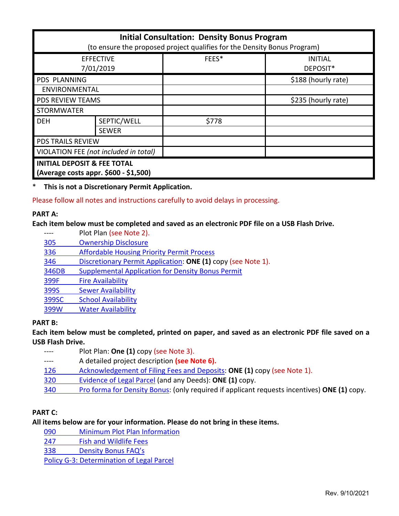| <b>Initial Consultation: Density Bonus Program</b><br>(to ensure the proposed project qualifies for the Density Bonus Program) |              |       |                            |
|--------------------------------------------------------------------------------------------------------------------------------|--------------|-------|----------------------------|
| <b>EFFECTIVE</b><br>7/01/2019                                                                                                  |              | FEES* | <b>INITIAL</b><br>DEPOSIT* |
| PDS PLANNING                                                                                                                   |              |       | \$188 (hourly rate)        |
| ENVIRONMENTAL                                                                                                                  |              |       |                            |
| <b>PDS REVIEW TEAMS</b>                                                                                                        |              |       | \$235 (hourly rate)        |
| <b>STORMWATER</b>                                                                                                              |              |       |                            |
| <b>DEH</b>                                                                                                                     | SEPTIC/WELL  | \$778 |                            |
|                                                                                                                                | <b>SEWER</b> |       |                            |
| <b>PDS TRAILS REVIEW</b>                                                                                                       |              |       |                            |
| VIOLATION FEE (not included in total)                                                                                          |              |       |                            |
| <b>INITIAL DEPOSIT &amp; FEE TOTAL</b><br>(Average costs appr. \$600 - \$1,500)                                                |              |       |                            |

\* **This is not a Discretionary Permit Application.**

Please follow all notes and instructions carefully to avoid delays in processing.

#### **PART A:**

#### **Each item below must be completed and saved as an electronic PDF file on a USB Flash Drive.**

---- Plot Plan (see Note 2). [305 Ownership Disclosure](https://www.sandiegocounty.gov/pds/zoning/formfields/PDS-PLN-305.pdf)  336 [Affordable Housing Priority Permit Process](https://www.sandiegocounty.gov/pds/zoning/formfields/PDS-PLN-336.pdf) 346 [Discretionary Permit Application:](https://www.sandiegocounty.gov/pds/zoning/formfields/PDS-PLN-346.pdf) **ONE (1)** copy (see Note 1). [346DB Supplemental Application for Density Bonus Permit](https://www.sandiegocounty.gov/pds/zoning/formfields/PDS-PLN-346DB.pdf) [399F Fire Availability](https://www.sandiegocounty.gov/pds/zoning/formfields/PDS-PLN-399F.pdf) 399S [Sewer Availability](https://www.sandiegocounty.gov/pds/zoning/formfields/PDS-PLN-399S.pdf) [399SC School Availability](https://www.sandiegocounty.gov/pds/zoning/formfields/PDS-PLN-399SC.pdf) [399W Water Availability](https://www.sandiegocounty.gov/pds/zoning/formfields/PDS-PLN-399W.pdf)

# **PART B:**

**Each item below must be completed, printed on paper, and saved as an electronic PDF file saved on a USB Flash Drive.**

- ---- Plot Plan: **One (1)** copy (see Note 3).
- ---- A detailed project description **(see Note 6).**
- [126 Acknowledgement of Filing Fees and Deposits:](https://www.sandiegocounty.gov/pds/zoning/formfields/PDS-PLN-126.pdf) **ONE (1)** copy (see Note 1).
- [320 Evidence of Legal Parcel](https://www.sandiegocounty.gov/pds/zoning/formfields/PDS-PLN-320.pdf) (and any Deeds): **ONE (1)** copy.
- 340 [Pro forma for Density Bonus:](https://www.sandiegocounty.gov/pds/zoning/formfields/PDS-PLN-340.pdf) (only required if applicant requests incentives) **ONE (1)** copy.

#### **PART C:**

#### **All items below are for your information. Please do not bring in these items.**

[090 Minimum Plot Plan Information](http://www.sdcounty.ca.gov/pds/docs/pds090.pdf)

[247 Fish and Wildlife Fees](https://www.sandiegocounty.gov/content/dam/sdc/pds/zoning/formfields/PDS-PLN-247.pdf) 

338 [Density Bonus FAQ's](https://www.sandiegocounty.gov/content/dam/sdc/pds/zoning/formfields/PDS-PLN-338.pdf)

[Policy G-3: Determination of Legal Parcel](http://www.sdcounty.ca.gov/pds/zoning/formfields/POLICY-G-3.pdf)